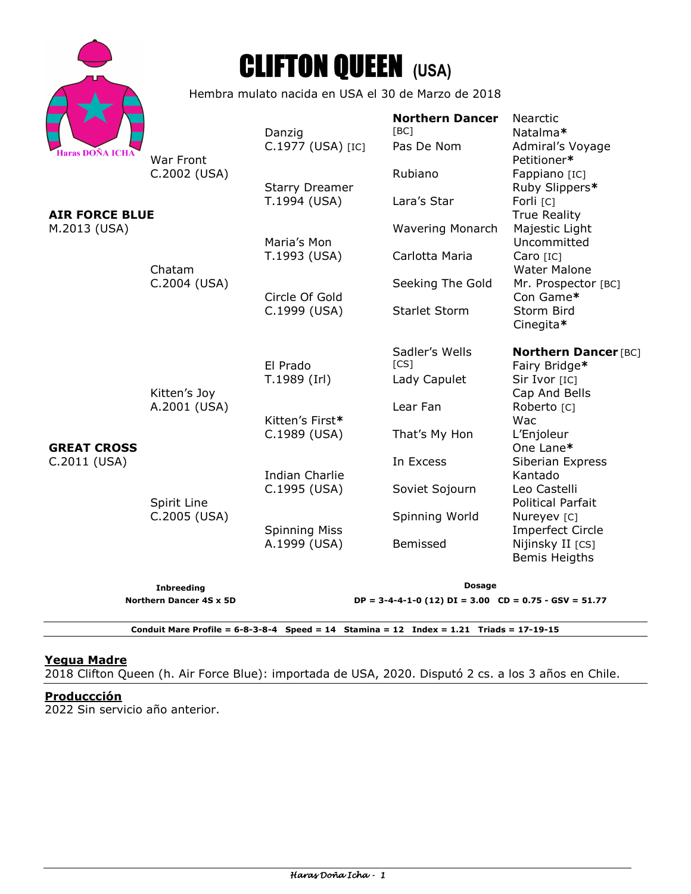



Hembra mulato nacida en USA el 30 de Marzo de 2018

|                                    |                                                             | Danzig                                | <b>Northern Dancer</b><br>[BC]                              | Nearctic<br>Natalma*                                    |
|------------------------------------|-------------------------------------------------------------|---------------------------------------|-------------------------------------------------------------|---------------------------------------------------------|
| <b>Haras DOÑA ICHA</b>             | War Front<br>C.2002 (USA)                                   | C.1977 (USA) [IC]                     | Pas De Nom                                                  | Admiral's Voyage<br>Petitioner*                         |
|                                    |                                                             | <b>Starry Dreamer</b>                 | Rubiano                                                     | Fappiano [IC]<br>Ruby Slippers*                         |
|                                    |                                                             | T.1994 (USA)                          | Lara's Star                                                 | Forli <sub>[C]</sub>                                    |
| <b>AIR FORCE BLUE</b>              |                                                             |                                       |                                                             | <b>True Reality</b>                                     |
| M.2013 (USA)                       |                                                             | Maria's Mon                           | <b>Wavering Monarch</b>                                     | Majestic Light<br>Uncommitted                           |
|                                    | Chatam<br>C.2004 (USA)                                      | T.1993 (USA)<br>Circle Of Gold        | Carlotta Maria                                              | Caro [IC]                                               |
|                                    |                                                             |                                       | Seeking The Gold                                            | <b>Water Malone</b><br>Mr. Prospector [BC]<br>Con Game* |
| <b>GREAT CROSS</b><br>C.2011 (USA) | Kitten's Joy<br>A.2001 (USA)<br>Spirit Line<br>C.2005 (USA) | C.1999 (USA)                          | <b>Starlet Storm</b>                                        | Storm Bird<br>Cinegita*                                 |
|                                    |                                                             |                                       | Sadler's Wells                                              | <b>Northern Dancer [BC]</b>                             |
|                                    |                                                             | El Prado<br>T.1989 (Irl)              | [CS]<br>Lady Capulet                                        | Fairy Bridge*<br>Sir Ivor [IC]                          |
|                                    |                                                             |                                       |                                                             | Cap And Bells                                           |
|                                    |                                                             |                                       | Lear Fan                                                    | Roberto <sub>[C]</sub>                                  |
|                                    |                                                             | Kitten's First*                       |                                                             | Wac                                                     |
|                                    |                                                             | C.1989 (USA)                          | That's My Hon                                               | L'Enjoleur<br>One Lane*                                 |
|                                    |                                                             |                                       | In Excess                                                   | Siberian Express                                        |
|                                    |                                                             | <b>Indian Charlie</b><br>C.1995 (USA) | Soviet Sojourn                                              | Kantado<br>Leo Castelli                                 |
|                                    |                                                             |                                       |                                                             | <b>Political Parfait</b>                                |
|                                    |                                                             | <b>Spinning Miss</b>                  | Spinning World                                              | Nureyev [C]                                             |
|                                    |                                                             |                                       |                                                             | <b>Imperfect Circle</b>                                 |
|                                    |                                                             | A.1999 (USA)                          | Bemissed                                                    | Nijinsky II [CS]<br><b>Bemis Heigths</b>                |
|                                    | <b>Inbreeding</b>                                           | <b>Dosage</b>                         |                                                             |                                                         |
| Northern Dancer 4S x 5D            |                                                             |                                       | $DP = 3-4-4-1-0$ (12) $DI = 3.00$ $CD = 0.75 - GSV = 51.77$ |                                                         |
|                                    |                                                             |                                       |                                                             |                                                         |

**Conduit Mare Profile = 6-8-3-8-4 Speed = 14 Stamina = 12 Index = 1.21 Triads = 17-19-15** 

# **Yegua Madre**

2018 Clifton Queen (h. Air Force Blue): importada de USA, 2020. Disputó 2 cs. a los 3 años en Chile.

#### **Produccción**

2022 Sin servicio año anterior.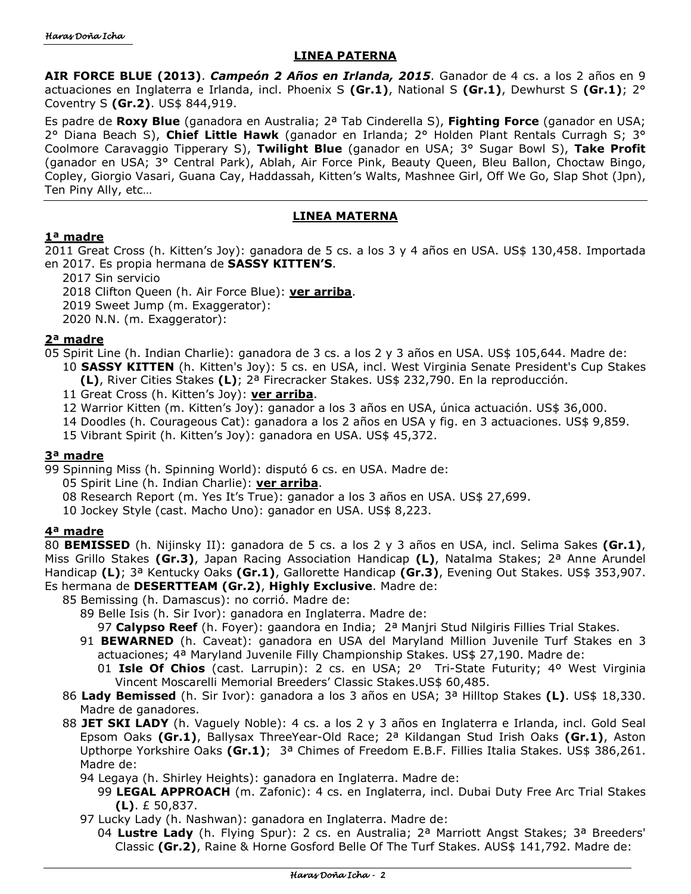# **LINEA PATERNA**

**AIR FORCE BLUE (2013)**. *Campeón 2 Años en Irlanda, 2015*. Ganador de 4 cs. a los 2 años en 9 actuaciones en Inglaterra e Irlanda, incl. Phoenix S **(Gr.1)**, National S **(Gr.1)**, Dewhurst S **(Gr.1)**; 2° Coventry S **(Gr.2)**. US\$ 844,919.

Es padre de **Roxy Blue** (ganadora en Australia; 2ª Tab Cinderella S), **Fighting Force** (ganador en USA; 2° Diana Beach S), **Chief Little Hawk** (ganador en Irlanda; 2° Holden Plant Rentals Curragh S; 3° Coolmore Caravaggio Tipperary S), **Twilight Blue** (ganador en USA; 3° Sugar Bowl S), **Take Profit** (ganador en USA; 3° Central Park), Ablah, Air Force Pink, Beauty Queen, Bleu Ballon, Choctaw Bingo, Copley, Giorgio Vasari, Guana Cay, Haddassah, Kitten's Walts, Mashnee Girl, Off We Go, Slap Shot (Jpn), Ten Piny Ally, etc…

#### **LINEA MATERNA**

#### **1ª madre**

2011 Great Cross (h. Kitten's Joy): ganadora de 5 cs. a los 3 y 4 años en USA. US\$ 130,458. Importada en 2017. Es propia hermana de **SASSY KITTEN'S**.

- 2017 Sin servicio
- 2018 Clifton Queen (h. Air Force Blue): **ver arriba**.
- 2019 Sweet Jump (m. Exaggerator):
- 2020 N.N. (m. Exaggerator):

# **2ª madre**

- 05 Spirit Line (h. Indian Charlie): ganadora de 3 cs. a los 2 y 3 años en USA. US\$ 105,644. Madre de: 10 **SASSY KITTEN** (h. Kitten's Joy): 5 cs. en USA, incl. West Virginia Senate President's Cup Stakes
	- **(L)**, River Cities Stakes **(L)**; 2ª Firecracker Stakes. US\$ 232,790. En la reproducción.
	- 11 Great Cross (h. Kitten's Joy): **ver arriba**.
	- 12 Warrior Kitten (m. Kitten's Joy): ganador a los 3 años en USA, única actuación. US\$ 36,000.
	- 14 Doodles (h. Courageous Cat): ganadora a los 2 años en USA y fig. en 3 actuaciones. US\$ 9,859.
	- 15 Vibrant Spirit (h. Kitten's Joy): ganadora en USA. US\$ 45,372.

# **3ª madre**

- 99 Spinning Miss (h. Spinning World): disputó 6 cs. en USA. Madre de:
	- 05 Spirit Line (h. Indian Charlie): **ver arriba**.
	- 08 Research Report (m. Yes It's True): ganador a los 3 años en USA. US\$ 27,699.
	- 10 Jockey Style (cast. Macho Uno): ganador en USA. US\$ 8,223.

# **4ª madre**

80 **BEMISSED** (h. Nijinsky II): ganadora de 5 cs. a los 2 y 3 años en USA, incl. Selima Sakes **(Gr.1)**, Miss Grillo Stakes **(Gr.3)**, Japan Racing Association Handicap **(L)**, Natalma Stakes; 2ª Anne Arundel Handicap **(L)**; 3ª Kentucky Oaks **(Gr.1)**, Gallorette Handicap **(Gr.3)**, Evening Out Stakes. US\$ 353,907. Es hermana de **DESERTTEAM (Gr.2)**, **Highly Exclusive**. Madre de:

85 Bemissing (h. Damascus): no corrió. Madre de:

- 89 Belle Isis (h. Sir Ivor): ganadora en Inglaterra. Madre de:
	- 97 **Calypso Reef** (h. Foyer): gaandora en India; 2ª Manjri Stud Nilgiris Fillies Trial Stakes.
- 91 **BEWARNED** (h. Caveat): ganadora en USA del Maryland Million Juvenile Turf Stakes en 3 actuaciones; 4ª Maryland Juvenile Filly Championship Stakes. US\$ 27,190. Madre de:
	- 01 **Isle Of Chios** (cast. Larrupin): 2 cs. en USA; 2º Tri-State Futurity; 4º West Virginia Vincent Moscarelli Memorial Breeders' Classic Stakes.US\$ 60,485.
- 86 **Lady Bemissed** (h. Sir Ivor): ganadora a los 3 años en USA; 3ª Hilltop Stakes **(L)**. US\$ 18,330. Madre de ganadores.
- 88 **JET SKI LADY** (h. Vaguely Noble): 4 cs. a los 2 y 3 años en Inglaterra e Irlanda, incl. Gold Seal Epsom Oaks **(Gr.1)**, Ballysax ThreeYear-Old Race; 2ª Kildangan Stud Irish Oaks **(Gr.1)**, Aston Upthorpe Yorkshire Oaks **(Gr.1)**; 3ª Chimes of Freedom E.B.F. Fillies Italia Stakes. US\$ 386,261. Madre de:
	- 94 Legaya (h. Shirley Heights): ganadora en Inglaterra. Madre de:
		- 99 **LEGAL APPROACH** (m. Zafonic): 4 cs. en Inglaterra, incl. Dubai Duty Free Arc Trial Stakes **(L)**. £ 50,837.
	- 97 Lucky Lady (h. Nashwan): ganadora en Inglaterra. Madre de:
	- 04 **Lustre Lady** (h. Flying Spur): 2 cs. en Australia; 2ª Marriott Angst Stakes; 3ª Breeders' Classic **(Gr.2)**, Raine & Horne Gosford Belle Of The Turf Stakes. AUS\$ 141,792. Madre de: